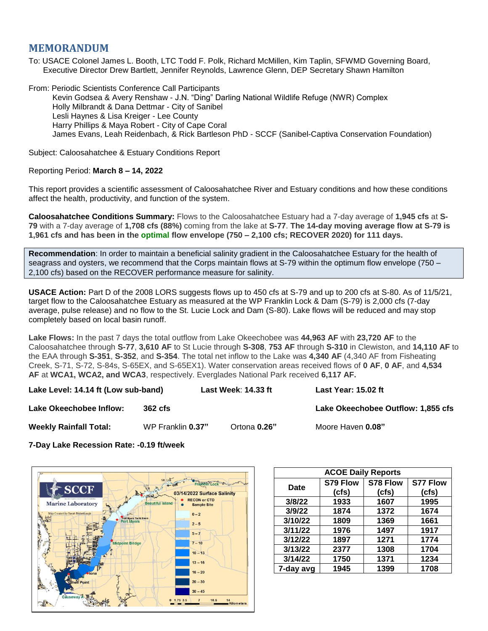## **MEMORANDUM**

To: USACE Colonel James L. Booth, LTC Todd F. Polk, Richard McMillen, Kim Taplin, SFWMD Governing Board, Executive Director Drew Bartlett, Jennifer Reynolds, Lawrence Glenn, DEP Secretary Shawn Hamilton

From: Periodic Scientists Conference Call Participants Kevin Godsea & Avery Renshaw - J.N. "Ding" Darling National Wildlife Refuge (NWR) Complex Holly Milbrandt & Dana Dettmar - City of Sanibel Lesli Haynes & Lisa Kreiger - Lee County Harry Phillips & Maya Robert - City of Cape Coral James Evans, Leah Reidenbach, & Rick Bartleson PhD - SCCF (Sanibel-Captiva Conservation Foundation)

Subject: Caloosahatchee & Estuary Conditions Report

## Reporting Period: **March 8 – 14, 2022**

This report provides a scientific assessment of Caloosahatchee River and Estuary conditions and how these conditions affect the health, productivity, and function of the system.

**Caloosahatchee Conditions Summary:** Flows to the Caloosahatchee Estuary had a 7-day average of **1,945 cfs** at **S-79** with a 7-day average of **1,708 cfs (88%)** coming from the lake at **S-77**. **The 14-day moving average flow at S-79 is 1,961 cfs and has been in the optimal flow envelope (750 – 2,100 cfs; RECOVER 2020) for 111 days.**

**Recommendation**: In order to maintain a beneficial salinity gradient in the Caloosahatchee Estuary for the health of seagrass and oysters, we recommend that the Corps maintain flows at S-79 within the optimum flow envelope (750 – 2,100 cfs) based on the RECOVER performance measure for salinity.

**USACE Action:** Part D of the 2008 LORS suggests flows up to 450 cfs at S-79 and up to 200 cfs at S-80. As of 11/5/21, target flow to the Caloosahatchee Estuary as measured at the WP Franklin Lock & Dam (S-79) is 2,000 cfs (7-day average, pulse release) and no flow to the St. Lucie Lock and Dam (S-80). Lake flows will be reduced and may stop completely based on local basin runoff.

**Lake Flows:** In the past 7 days the total outflow from Lake Okeechobee was **44,963 AF** with **23,720 AF** to the Caloosahatchee through **S-77**, **3,610 AF** to St Lucie through **S-308**, **753 AF** through **S-310** in Clewiston, and **14,110 AF** to the EAA through **S-351**, **S-352**, and **S-354**. The total net inflow to the Lake was **4,340 AF** (4,340 AF from Fisheating Creek, S-71, S-72, S-84s, S-65EX, and S-65EX1). Water conservation areas received flows of **0 AF**, **0 AF**, and **4,534 AF** at **WCA1, WCA2, and WCA3**, respectively. Everglades National Park received **6,117 AF.**

**Lake Level: 14.14 ft (Low sub-band) Last Week**: **14.33 ft Last Year: 15.02 ft**

**Lake Okeechobee Inflow: 362 cfs Lake Okeechobee Outflow: 1,855 cfs**

**Weekly Rainfall Total:** WP Franklin **0.37"** Ortona **0.26"** Moore Haven **0.08"**

**7-Day Lake Recession Rate: -0.19 ft/week**



| <b>ACOE Daily Reports</b> |          |          |                 |  |  |  |
|---------------------------|----------|----------|-----------------|--|--|--|
| Date                      | S79 Flow | S78 Flow | <b>S77 Flow</b> |  |  |  |
|                           | (cfs)    | (cfs)    | (cfs)           |  |  |  |
| 3/8/22                    | 1933     | 1607     | 1995            |  |  |  |
| 3/9/22                    | 1874     | 1372     | 1674            |  |  |  |
| 3/10/22                   | 1809     | 1369     | 1661            |  |  |  |
| 3/11/22                   | 1976     | 1497     | 1917            |  |  |  |
| 3/12/22                   | 1897     | 1271     | 1774            |  |  |  |
| 3/13/22                   | 2377     | 1308     | 1704            |  |  |  |
| 3/14/22                   | 1750     | 1371     | 1234            |  |  |  |
| 7-day avg                 | 1945     | 1399     | 1708            |  |  |  |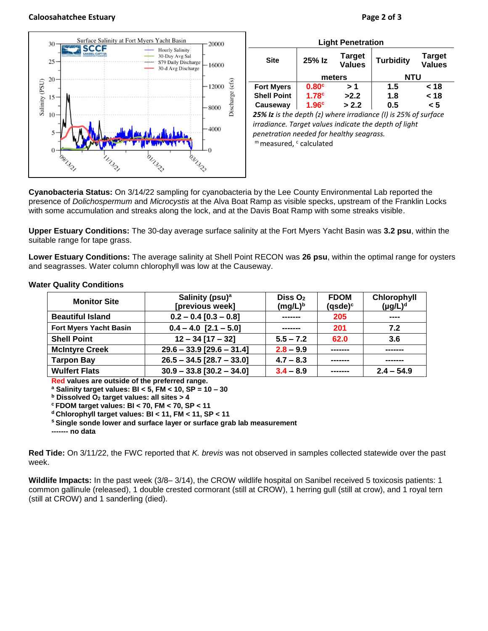## **Caloosahatchee Estuary Page 2 of 3**





| <b>Light Penetration</b>                                       |                   |                                |                  |                                |  |  |  |
|----------------------------------------------------------------|-------------------|--------------------------------|------------------|--------------------------------|--|--|--|
| <b>Site</b>                                                    | 25% Iz            | <b>Target</b><br><b>Values</b> | <b>Turbidity</b> | <b>Target</b><br><b>Values</b> |  |  |  |
|                                                                | meters            |                                | <b>NTU</b>       |                                |  |  |  |
| <b>Fort Myers</b>                                              | 0.80 <sup>c</sup> | >1                             | 1.5              | < 18                           |  |  |  |
| <b>Shell Point</b>                                             | 1.78 <sup>c</sup> | >2.2                           | 1.8              | < 18                           |  |  |  |
| Causeway                                                       | 1.96 <sup>c</sup> | > 2.2                          | 0.5              | < 5                            |  |  |  |
| 25% Iz is the depth (z) where irradiance (I) is 25% of surface |                   |                                |                  |                                |  |  |  |

*irradiance. Target values indicate the depth of light penetration needed for healthy seagrass.* m measured, c calculated

**Cyanobacteria Status:** On 3/14/22 sampling for cyanobacteria by the Lee County Environmental Lab reported the presence of *Dolichospermum* and *Microcystis* at the Alva Boat Ramp as visible specks, upstream of the Franklin Locks with some accumulation and streaks along the lock, and at the Davis Boat Ramp with some streaks visible.

**Upper Estuary Conditions:** The 30-day average surface salinity at the Fort Myers Yacht Basin was **3.2 psu**, within the suitable range for tape grass.

**Lower Estuary Conditions:** The average salinity at Shell Point RECON was **26 psu**, within the optimal range for oysters and seagrasses. Water column chlorophyll was low at the Causeway.

| <b>Monitor Site</b>           | Salinity (psu) <sup>a</sup><br>[previous week] | Diss $O2$<br>$(mg/L)^b$ | <b>FDOM</b><br>$(gsde)^c$ | Chlorophyll<br>$(\mu g/L)^d$ |
|-------------------------------|------------------------------------------------|-------------------------|---------------------------|------------------------------|
| <b>Beautiful Island</b>       | $0.2 - 0.4 [0.3 - 0.8]$                        |                         |                           | $\frac{1}{2}$                |
| <b>Fort Myers Yacht Basin</b> | $0.4 - 4.0$ [2.1 - 5.0]                        | -------                 | 201                       | 7.2                          |
| <b>Shell Point</b>            | $12 - 34$ [17 - 32]                            | 62.0<br>$5.5 - 7.2$     |                           | 3.6                          |
| <b>McIntyre Creek</b>         | $29.6 - 33.9$ [29.6 - 31.4]                    | $2.8 - 9.9$             |                           |                              |
| <b>Tarpon Bay</b>             | $26.5 - 34.5$ [28.7 - 33.0]                    | $4.7 - 8.3$             |                           |                              |
| <b>Wulfert Flats</b>          | $30.9 - 33.8$ [30.2 - 34.0]                    | $3.4 - 8.9$             |                           | $2.4 - 54.9$                 |

## **Water Quality Conditions**

**Red values are outside of the preferred range.**

**<sup>a</sup> Salinity target values: BI < 5, FM < 10, SP = 10 – 30**

**<sup>b</sup> Dissolved O<sup>2</sup> target values: all sites > 4**

**<sup>c</sup> FDOM target values: BI < 70, FM < 70, SP < 11**

**<sup>d</sup> Chlorophyll target values: BI < 11, FM < 11, SP < 11** 

**<sup>s</sup> Single sonde lower and surface layer or surface grab lab measurement**

**------- no data**

**Red Tide:** On 3/11/22, the FWC reported that *K. brevis* was not observed in samples collected statewide over the past week.

**Wildlife Impacts:** In the past week (3/8– 3/14), the CROW wildlife hospital on Sanibel received 5 toxicosis patients: 1 common gallinule (released), 1 double crested cormorant (still at CROW), 1 herring gull (still at crow), and 1 royal tern (still at CROW) and 1 sanderling (died).